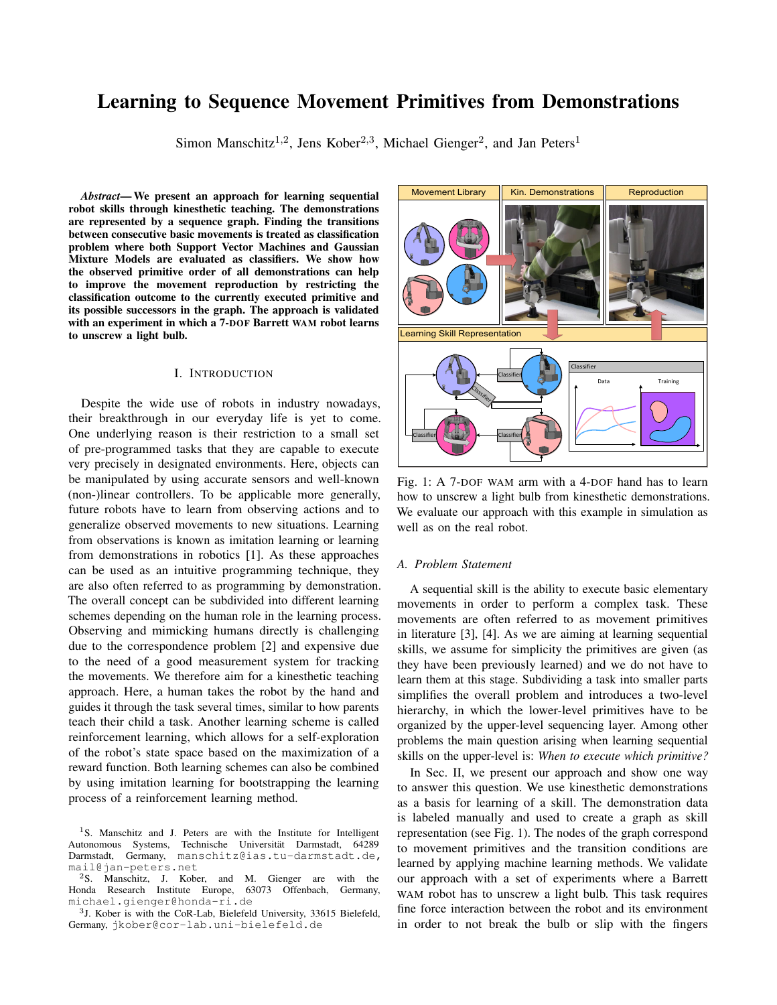# Learning to Sequence Movement Primitives from Demonstrations

Simon Manschitz<sup>1,2</sup>, Jens Kober<sup>2,3</sup>, Michael Gienger<sup>2</sup>, and Jan Peters<sup>1</sup>

*Abstract*— We present an approach for learning sequential robot skills through kinesthetic teaching. The demonstrations are represented by a sequence graph. Finding the transitions between consecutive basic movements is treated as classification problem where both Support Vector Machines and Gaussian Mixture Models are evaluated as classifiers. We show how the observed primitive order of all demonstrations can help to improve the movement reproduction by restricting the classification outcome to the currently executed primitive and its possible successors in the graph. The approach is validated with an experiment in which a 7-DOF Barrett WAM robot learns to unscrew a light bulb.

#### I. INTRODUCTION

Despite the wide use of robots in industry nowadays, their breakthrough in our everyday life is yet to come. One underlying reason is their restriction to a small set of pre-programmed tasks that they are capable to execute very precisely in designated environments. Here, objects can be manipulated by using accurate sensors and well-known (non-)linear controllers. To be applicable more generally, future robots have to learn from observing actions and to generalize observed movements to new situations. Learning from observations is known as imitation learning or learning from demonstrations in robotics [1]. As these approaches can be used as an intuitive programming technique, they are also often referred to as programming by demonstration. The overall concept can be subdivided into different learning schemes depending on the human role in the learning process. Observing and mimicking humans directly is challenging due to the correspondence problem [2] and expensive due to the need of a good measurement system for tracking the movements. We therefore aim for a kinesthetic teaching approach. Here, a human takes the robot by the hand and guides it through the task several times, similar to how parents teach their child a task. Another learning scheme is called reinforcement learning, which allows for a self-exploration of the robot's state space based on the maximization of a reward function. Both learning schemes can also be combined by using imitation learning for bootstrapping the learning process of a reinforcement learning method.

<sup>2</sup>S. Manschitz, J. Kober, and M. Gienger are with the Honda Research Institute Europe, 63073 Offenbach, Germany, michael.gienger@honda-ri.de

3 J. Kober is with the CoR-Lab, Bielefeld University, 33615 Bielefeld, Germany, jkober@cor-lab.uni-bielefeld.de

<span id="page-0-0"></span>

Fig. 1: A 7-DOF WAM arm with a 4-DOF hand has to learn how to unscrew a light bulb from kinesthetic demonstrations. We evaluate our approach with this example in simulation as well as on the real robot.

# *A. Problem Statement*

A sequential skill is the ability to execute basic elementary movements in order to perform a complex task. These movements are often referred to as movement primitives in literature [3], [4]. As we are aiming at learning sequential skills, we assume for simplicity the primitives are given (as they have been previously learned) and we do not have to learn them at this stage. Subdividing a task into smaller parts simplifies the overall problem and introduces a two-level hierarchy, in which the lower-level primitives have to be organized by the upper-level sequencing layer. Among other problems the main question arising when learning sequential skills on the upper-level is: *When to execute which primitive?*

In [Sec. II,](#page-1-0) we present our approach and show one way to answer this question. We use kinesthetic demonstrations as a basis for learning of a skill. The demonstration data is labeled manually and used to create a graph as skill representation (see [Fig. 1\)](#page-0-0). The nodes of the graph correspond to movement primitives and the transition conditions are learned by applying machine learning methods. We validate our approach with a set of experiments where a Barrett WAM robot has to unscrew a light bulb. This task requires fine force interaction between the robot and its environment in order to not break the bulb or slip with the fingers

<sup>&</sup>lt;sup>1</sup>S. Manschitz and J. Peters are with the Institute for Intelligent Autonomous Systems, Technische Universität Darmstadt, 64289 Darmstadt, Germany, manschitz@ias.tu-darmstadt.de, mail@jan-peters.net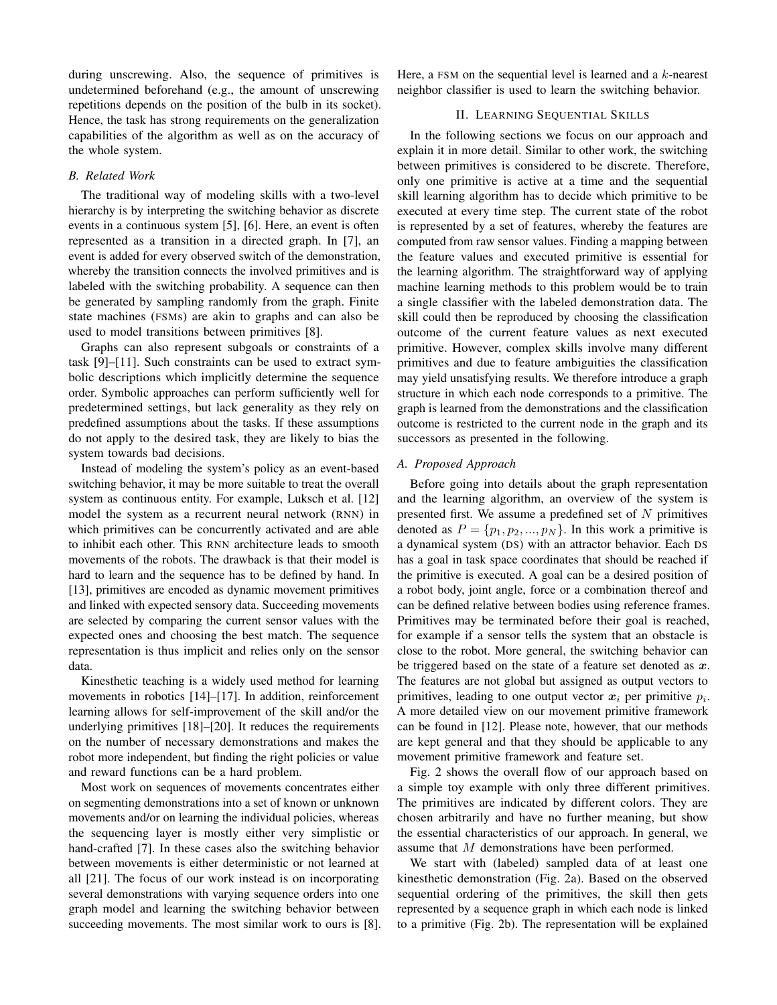during unscrewing. Also, the sequence of primitives is undetermined beforehand (e.g., the amount of unscrewing repetitions depends on the position of the bulb in its socket). Hence, the task has strong requirements on the generalization capabilities of the algorithm as well as on the accuracy of the whole system.

# *B. Related Work*

The traditional way of modeling skills with a two-level hierarchy is by interpreting the switching behavior as discrete events in a continuous system [5], [6]. Here, an event is often represented as a transition in a directed graph. In [7], an event is added for every observed switch of the demonstration, whereby the transition connects the involved primitives and is labeled with the switching probability. A sequence can then be generated by sampling randomly from the graph. Finite state machines (FSMs) are akin to graphs and can also be used to model transitions between primitives [8].

Graphs can also represent subgoals or constraints of a task [9]–[11]. Such constraints can be used to extract symbolic descriptions which implicitly determine the sequence order. Symbolic approaches can perform sufficiently well for predetermined settings, but lack generality as they rely on predefined assumptions about the tasks. If these assumptions do not apply to the desired task, they are likely to bias the system towards bad decisions.

Instead of modeling the system's policy as an event-based switching behavior, it may be more suitable to treat the overall system as continuous entity. For example, Luksch et al. [12] model the system as a recurrent neural network (RNN) in which primitives can be concurrently activated and are able to inhibit each other. This RNN architecture leads to smooth movements of the robots. The drawback is that their model is hard to learn and the sequence has to be defined by hand. In [13], primitives are encoded as dynamic movement primitives and linked with expected sensory data. Succeeding movements are selected by comparing the current sensor values with the expected ones and choosing the best match. The sequence representation is thus implicit and relies only on the sensor data.

Kinesthetic teaching is a widely used method for learning movements in robotics [14]–[17]. In addition, reinforcement learning allows for self-improvement of the skill and/or the underlying primitives [18]–[20]. It reduces the requirements on the number of necessary demonstrations and makes the robot more independent, but finding the right policies or value and reward functions can be a hard problem.

Most work on sequences of movements concentrates either on segmenting demonstrations into a set of known or unknown movements and/or on learning the individual policies, whereas the sequencing layer is mostly either very simplistic or hand-crafted [7]. In these cases also the switching behavior between movements is either deterministic or not learned at all [21]. The focus of our work instead is on incorporating several demonstrations with varying sequence orders into one graph model and learning the switching behavior between succeeding movements. The most similar work to ours is [8]. Here, a FSM on the sequential level is learned and a  $k$ -nearest neighbor classifier is used to learn the switching behavior.

# II. LEARNING SEQUENTIAL SKILLS

<span id="page-1-0"></span>In the following sections we focus on our approach and explain it in more detail. Similar to other work, the switching between primitives is considered to be discrete. Therefore, only one primitive is active at a time and the sequential skill learning algorithm has to decide which primitive to be executed at every time step. The current state of the robot is represented by a set of features, whereby the features are computed from raw sensor values. Finding a mapping between the feature values and executed primitive is essential for the learning algorithm. The straightforward way of applying machine learning methods to this problem would be to train a single classifier with the labeled demonstration data. The skill could then be reproduced by choosing the classification outcome of the current feature values as next executed primitive. However, complex skills involve many different primitives and due to feature ambiguities the classification may yield unsatisfying results. We therefore introduce a graph structure in which each node corresponds to a primitive. The graph is learned from the demonstrations and the classification outcome is restricted to the current node in the graph and its successors as presented in the following.

#### *A. Proposed Approach*

Before going into details about the graph representation and the learning algorithm, an overview of the system is presented first. We assume a predefined set of  $N$  primitives denoted as  $P = \{p_1, p_2, ..., p_N\}$ . In this work a primitive is a dynamical system (DS) with an attractor behavior. Each DS has a goal in task space coordinates that should be reached if the primitive is executed. A goal can be a desired position of a robot body, joint angle, force or a combination thereof and can be defined relative between bodies using reference frames. Primitives may be terminated before their goal is reached, for example if a sensor tells the system that an obstacle is close to the robot. More general, the switching behavior can be triggered based on the state of a feature set denoted as  $x$ . The features are not global but assigned as output vectors to primitives, leading to one output vector  $x_i$  per primitive  $p_i$ . A more detailed view on our movement primitive framework can be found in [12]. Please note, however, that our methods are kept general and that they should be applicable to any movement primitive framework and feature set.

[Fig. 2](#page-2-0) shows the overall flow of our approach based on a simple toy example with only three different primitives. The primitives are indicated by different colors. They are chosen arbitrarily and have no further meaning, but show the essential characteristics of our approach. In general, we assume that M demonstrations have been performed.

We start with (labeled) sampled data of at least one kinesthetic demonstration [\(Fig. 2a\)](#page-2-1). Based on the observed sequential ordering of the primitives, the skill then gets represented by a sequence graph in which each node is linked to a primitive [\(Fig. 2b\)](#page-2-1). The representation will be explained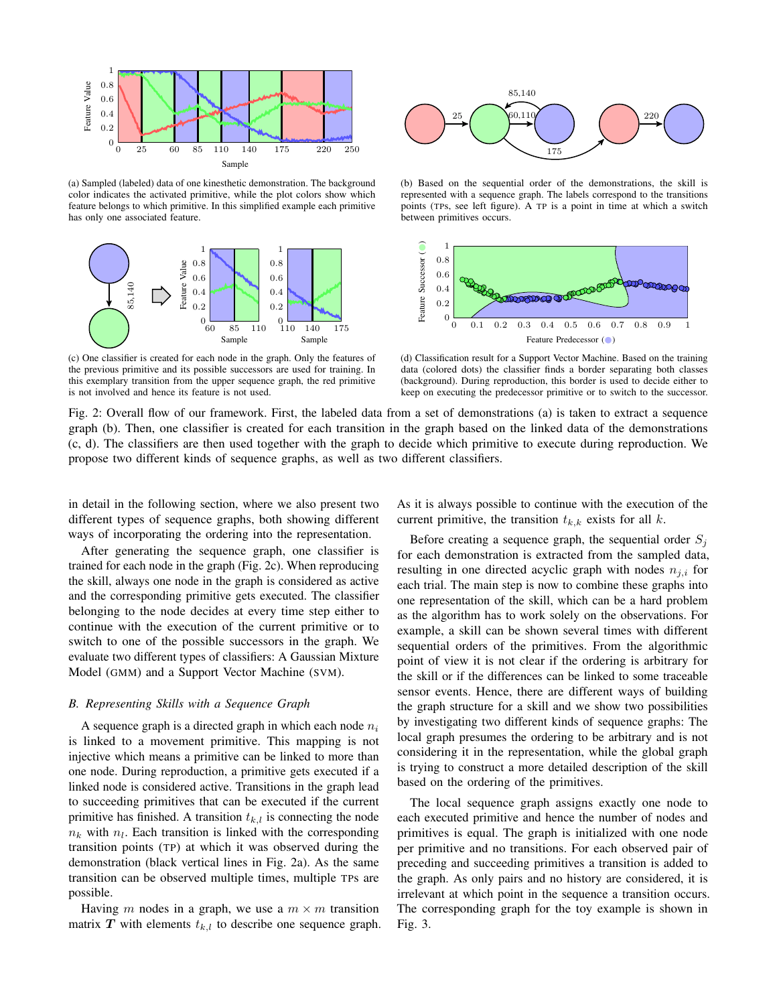<span id="page-2-1"></span><span id="page-2-0"></span>

(a) Sampled (labeled) data of one kinesthetic demonstration. The background color indicates the activated primitive, while the plot colors show which feature belongs to which primitive. In this simplified example each primitive has only one associated feature.

<span id="page-2-2"></span>

(c) One classifier is created for each node in the graph. Only the features of the previous primitive and its possible successors are used for training. In this exemplary transition from the upper sequence graph, the red primitive is not involved and hence its feature is not used.



(b) Based on the sequential order of the demonstrations, the skill is represented with a sequence graph. The labels correspond to the transitions points (TPs, see left figure). A TP is a point in time at which a switch between primitives occurs.



(d) Classification result for a Support Vector Machine. Based on the training data (colored dots) the classifier finds a border separating both classes (background). During reproduction, this border is used to decide either to keep on executing the predecessor primitive or to switch to the successor.

Fig. 2: Overall flow of our framework. First, the labeled data from a set of demonstrations (a) is taken to extract a sequence graph (b). Then, one classifier is created for each transition in the graph based on the linked data of the demonstrations (c, d). The classifiers are then used together with the graph to decide which primitive to execute during reproduction. We propose two different kinds of sequence graphs, as well as two different classifiers.

in detail in the following section, where we also present two different types of sequence graphs, both showing different ways of incorporating the ordering into the representation.

After generating the sequence graph, one classifier is trained for each node in the graph [\(Fig. 2c\)](#page-2-2). When reproducing the skill, always one node in the graph is considered as active and the corresponding primitive gets executed. The classifier belonging to the node decides at every time step either to continue with the execution of the current primitive or to switch to one of the possible successors in the graph. We evaluate two different types of classifiers: A Gaussian Mixture Model (GMM) and a Support Vector Machine (SVM).

### *B. Representing Skills with a Sequence Graph*

A sequence graph is a directed graph in which each node  $n_i$ is linked to a movement primitive. This mapping is not injective which means a primitive can be linked to more than one node. During reproduction, a primitive gets executed if a linked node is considered active. Transitions in the graph lead to succeeding primitives that can be executed if the current primitive has finished. A transition  $t_{k,l}$  is connecting the node  $n_k$  with  $n_l$ . Each transition is linked with the corresponding transition points (TP) at which it was observed during the demonstration (black vertical lines in [Fig. 2a\)](#page-2-1). As the same transition can be observed multiple times, multiple TPs are possible.

Having m nodes in a graph, we use a  $m \times m$  transition matrix T with elements  $t_{k,l}$  to describe one sequence graph. As it is always possible to continue with the execution of the current primitive, the transition  $t_{k,k}$  exists for all k.

Before creating a sequence graph, the sequential order  $S_i$ for each demonstration is extracted from the sampled data, resulting in one directed acyclic graph with nodes  $n_{i,i}$  for each trial. The main step is now to combine these graphs into one representation of the skill, which can be a hard problem as the algorithm has to work solely on the observations. For example, a skill can be shown several times with different sequential orders of the primitives. From the algorithmic point of view it is not clear if the ordering is arbitrary for the skill or if the differences can be linked to some traceable sensor events. Hence, there are different ways of building the graph structure for a skill and we show two possibilities by investigating two different kinds of sequence graphs: The local graph presumes the ordering to be arbitrary and is not considering it in the representation, while the global graph is trying to construct a more detailed description of the skill based on the ordering of the primitives.

The local sequence graph assigns exactly one node to each executed primitive and hence the number of nodes and primitives is equal. The graph is initialized with one node per primitive and no transitions. For each observed pair of preceding and succeeding primitives a transition is added to the graph. As only pairs and no history are considered, it is irrelevant at which point in the sequence a transition occurs. The corresponding graph for the toy example is shown in [Fig. 3.](#page-3-0)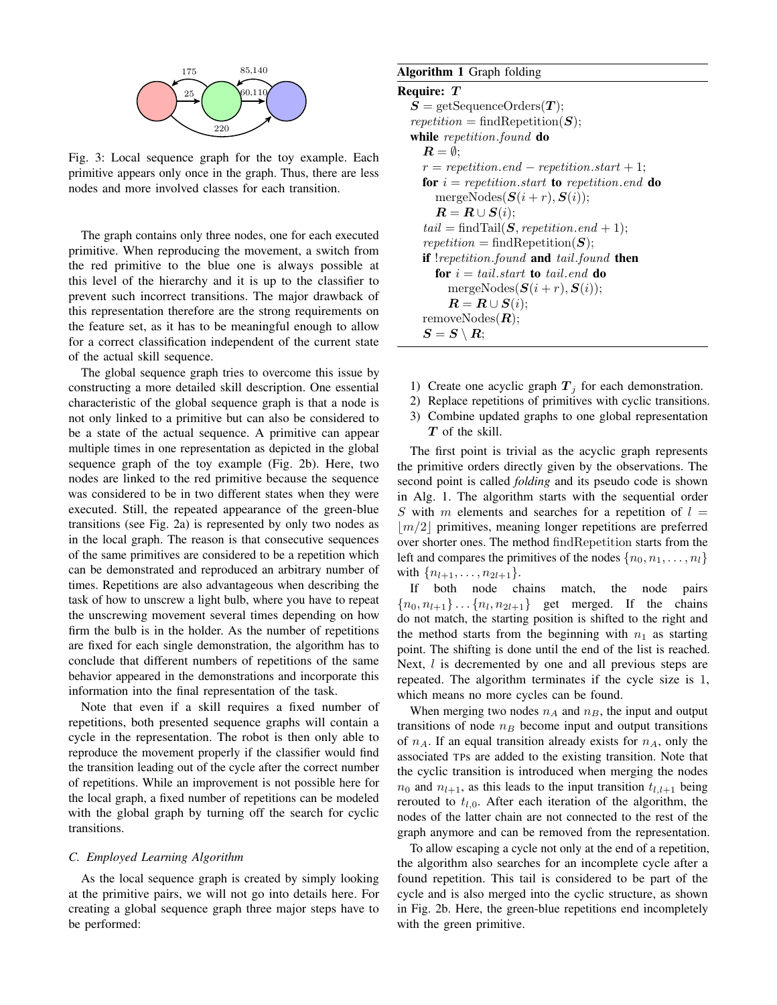<span id="page-3-0"></span>

Fig. 3: Local sequence graph for the toy example. Each primitive appears only once in the graph. Thus, there are less nodes and more involved classes for each transition.

The graph contains only three nodes, one for each executed primitive. When reproducing the movement, a switch from the red primitive to the blue one is always possible at this level of the hierarchy and it is up to the classifier to prevent such incorrect transitions. The major drawback of this representation therefore are the strong requirements on the feature set, as it has to be meaningful enough to allow for a correct classification independent of the current state of the actual skill sequence.

The global sequence graph tries to overcome this issue by constructing a more detailed skill description. One essential characteristic of the global sequence graph is that a node is not only linked to a primitive but can also be considered to be a state of the actual sequence. A primitive can appear multiple times in one representation as depicted in the global sequence graph of the toy example [\(Fig. 2b\)](#page-2-1). Here, two nodes are linked to the red primitive because the sequence was considered to be in two different states when they were executed. Still, the repeated appearance of the green-blue transitions (see [Fig. 2a\)](#page-2-1) is represented by only two nodes as in the local graph. The reason is that consecutive sequences of the same primitives are considered to be a repetition which can be demonstrated and reproduced an arbitrary number of times. Repetitions are also advantageous when describing the task of how to unscrew a light bulb, where you have to repeat the unscrewing movement several times depending on how firm the bulb is in the holder. As the number of repetitions are fixed for each single demonstration, the algorithm has to conclude that different numbers of repetitions of the same behavior appeared in the demonstrations and incorporate this information into the final representation of the task.

Note that even if a skill requires a fixed number of repetitions, both presented sequence graphs will contain a cycle in the representation. The robot is then only able to reproduce the movement properly if the classifier would find the transition leading out of the cycle after the correct number of repetitions. While an improvement is not possible here for the local graph, a fixed number of repetitions can be modeled with the global graph by turning off the search for cyclic transitions.

# *C. Employed Learning Algorithm*

As the local sequence graph is created by simply looking at the primitive pairs, we will not go into details here. For creating a global sequence graph three major steps have to be performed:

# <span id="page-3-1"></span>Algorithm 1 Graph folding

```
Require: T
S = getSequenceOrders(T);repetition = findRepetition(S);while repetition.found do
   \boldsymbol{R} = \emptyset;r = repetition.end - repetition.start + 1;for i = repetition.start to repetition.end do
      mergeNodes(\mathbf{S}(i + r), \mathbf{S}(i));\mathbf{R} = \mathbf{R} \cup \mathbf{S}(i);tail = \text{findTail}(S, repetition.end + 1);repetition = findRepetition(S);if repetition.found and tail.found then
      for i = tail.start to tail.end do
         mergeNodes(S(i + r), S(i));
         \mathbf{R} = \mathbf{R} \cup \mathbf{S}(i);
   removeNodes(R);
   S = S \setminus R;
```
- 1) Create one acyclic graph  $T_j$  for each demonstration.
- 2) Replace repetitions of primitives with cyclic transitions.
- 3) Combine updated graphs to one global representation T of the skill.

The first point is trivial as the acyclic graph represents the primitive orders directly given by the observations. The second point is called *folding* and its pseudo code is shown in [Alg. 1.](#page-3-1) The algorithm starts with the sequential order S with m elements and searches for a repetition of  $l =$  $|m/2|$  primitives, meaning longer repetitions are preferred over shorter ones. The method findRepetition starts from the left and compares the primitives of the nodes  $\{n_0, n_1, \ldots, n_l\}$ with  $\{n_{l+1}, \ldots, n_{2l+1}\}.$ 

If both node chains match, the node pairs  ${n_0, n_{l+1}} \dots {n_l, n_{2l+1}}$  get merged. If the chains do not match, the starting position is shifted to the right and the method starts from the beginning with  $n_1$  as starting point. The shifting is done until the end of the list is reached. Next, *l* is decremented by one and all previous steps are repeated. The algorithm terminates if the cycle size is 1, which means no more cycles can be found.

When merging two nodes  $n_A$  and  $n_B$ , the input and output transitions of node  $n_B$  become input and output transitions of  $n_A$ . If an equal transition already exists for  $n_A$ , only the associated TPs are added to the existing transition. Note that the cyclic transition is introduced when merging the nodes  $n_0$  and  $n_{l+1}$ , as this leads to the input transition  $t_{l,l+1}$  being rerouted to  $t_{l,0}$ . After each iteration of the algorithm, the nodes of the latter chain are not connected to the rest of the graph anymore and can be removed from the representation.

To allow escaping a cycle not only at the end of a repetition, the algorithm also searches for an incomplete cycle after a found repetition. This tail is considered to be part of the cycle and is also merged into the cyclic structure, as shown in [Fig. 2b.](#page-2-0) Here, the green-blue repetitions end incompletely with the green primitive.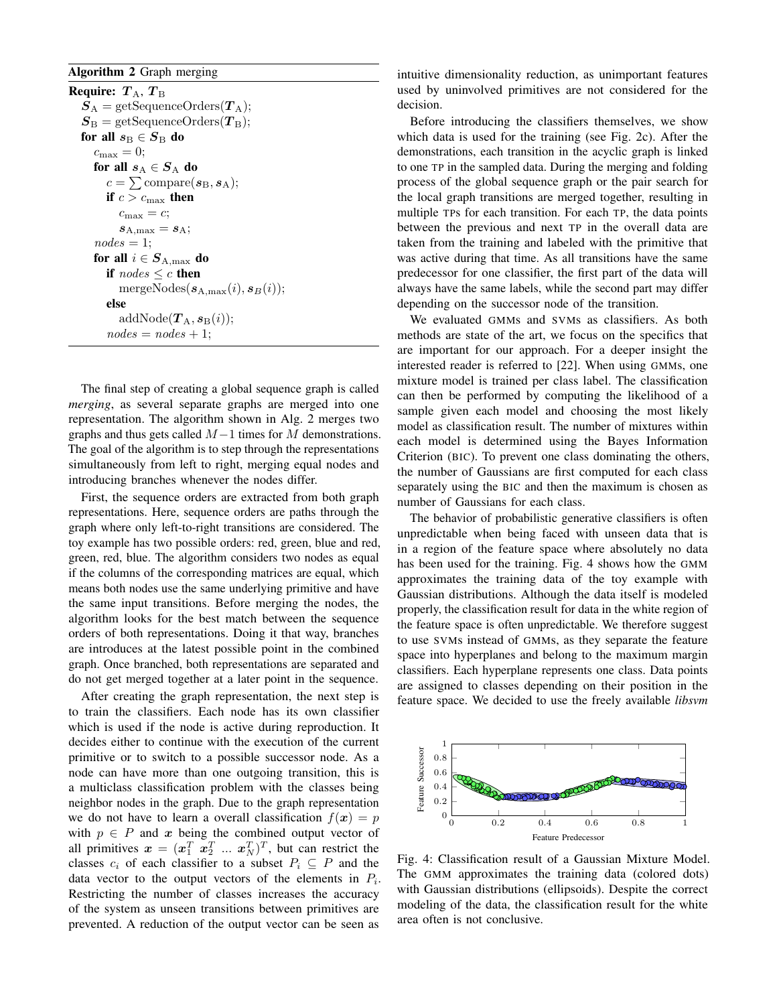# <span id="page-4-0"></span>Algorithm 2 Graph merging

| Require: $T_{\rm A}, T_{\rm B}$                        |  |  |  |  |  |  |  |  |  |
|--------------------------------------------------------|--|--|--|--|--|--|--|--|--|
| $S_A = getSequenceOrders(T_A);$                        |  |  |  |  |  |  |  |  |  |
| $S_{\rm B} =$ getSequenceOrders $(T_{\rm B});$         |  |  |  |  |  |  |  |  |  |
| for all $s_{\text{B}} \in S_{\text{B}}$ do             |  |  |  |  |  |  |  |  |  |
| $c_{\max}=0$                                           |  |  |  |  |  |  |  |  |  |
| for all $s_A \in S_A$ do                               |  |  |  |  |  |  |  |  |  |
| $c = \sum \text{compare}(\mathbf{s}_B, \mathbf{s}_A);$ |  |  |  |  |  |  |  |  |  |
| if $c > c_{\text{max}}$ then                           |  |  |  |  |  |  |  |  |  |
| $c_{\text{max}} = c$ ;                                 |  |  |  |  |  |  |  |  |  |
| $s_{A,\text{max}} = s_A;$                              |  |  |  |  |  |  |  |  |  |
| $nodes = 1$ :                                          |  |  |  |  |  |  |  |  |  |
| for all $i \in S_{A,\max}$ do                          |  |  |  |  |  |  |  |  |  |
| if $nodes < c$ then                                    |  |  |  |  |  |  |  |  |  |
| mergeNodes $(s_{A,\max}(i), s_B(i));$                  |  |  |  |  |  |  |  |  |  |
| else                                                   |  |  |  |  |  |  |  |  |  |
| $addNode(T_A, s_B(i));$                                |  |  |  |  |  |  |  |  |  |
| $nodes = nodes + 1$ ;                                  |  |  |  |  |  |  |  |  |  |

The final step of creating a global sequence graph is called *merging*, as several separate graphs are merged into one representation. The algorithm shown in [Alg. 2](#page-4-0) merges two graphs and thus gets called  $M-1$  times for M demonstrations. The goal of the algorithm is to step through the representations simultaneously from left to right, merging equal nodes and introducing branches whenever the nodes differ.

First, the sequence orders are extracted from both graph representations. Here, sequence orders are paths through the graph where only left-to-right transitions are considered. The toy example has two possible orders: red, green, blue and red, green, red, blue. The algorithm considers two nodes as equal if the columns of the corresponding matrices are equal, which means both nodes use the same underlying primitive and have the same input transitions. Before merging the nodes, the algorithm looks for the best match between the sequence orders of both representations. Doing it that way, branches are introduces at the latest possible point in the combined graph. Once branched, both representations are separated and do not get merged together at a later point in the sequence.

After creating the graph representation, the next step is to train the classifiers. Each node has its own classifier which is used if the node is active during reproduction. It decides either to continue with the execution of the current primitive or to switch to a possible successor node. As a node can have more than one outgoing transition, this is a multiclass classification problem with the classes being neighbor nodes in the graph. Due to the graph representation we do not have to learn a overall classification  $f(x) = p$ with  $p \in P$  and x being the combined output vector of all primitives  $\mathbf{x} = (\mathbf{x}_1^T \ \mathbf{x}_2^T \ ... \ \mathbf{x}_N^T)^T$ , but can restrict the classes  $c_i$  of each classifier to a subset  $P_i \subseteq P$  and the data vector to the output vectors of the elements in  $P_i$ . Restricting the number of classes increases the accuracy of the system as unseen transitions between primitives are prevented. A reduction of the output vector can be seen as

intuitive dimensionality reduction, as unimportant features used by uninvolved primitives are not considered for the decision.

Before introducing the classifiers themselves, we show which data is used for the training (see [Fig. 2c\)](#page-2-0). After the demonstrations, each transition in the acyclic graph is linked to one TP in the sampled data. During the merging and folding process of the global sequence graph or the pair search for the local graph transitions are merged together, resulting in multiple TPs for each transition. For each TP, the data points between the previous and next TP in the overall data are taken from the training and labeled with the primitive that was active during that time. As all transitions have the same predecessor for one classifier, the first part of the data will always have the same labels, while the second part may differ depending on the successor node of the transition.

We evaluated GMMs and SVMs as classifiers. As both methods are state of the art, we focus on the specifics that are important for our approach. For a deeper insight the interested reader is referred to [22]. When using GMMs, one mixture model is trained per class label. The classification can then be performed by computing the likelihood of a sample given each model and choosing the most likely model as classification result. The number of mixtures within each model is determined using the Bayes Information Criterion (BIC). To prevent one class dominating the others, the number of Gaussians are first computed for each class separately using the BIC and then the maximum is chosen as number of Gaussians for each class.

The behavior of probabilistic generative classifiers is often unpredictable when being faced with unseen data that is in a region of the feature space where absolutely no data has been used for the training. [Fig. 4](#page-4-1) shows how the GMM approximates the training data of the toy example with Gaussian distributions. Although the data itself is modeled properly, the classification result for data in the white region of the feature space is often unpredictable. We therefore suggest to use SVMs instead of GMMs, as they separate the feature space into hyperplanes and belong to the maximum margin classifiers. Each hyperplane represents one class. Data points are assigned to classes depending on their position in the feature space. We decided to use the freely available *libsvm*

<span id="page-4-1"></span>

Fig. 4: Classification result of a Gaussian Mixture Model. The GMM approximates the training data (colored dots) with Gaussian distributions (ellipsoids). Despite the correct modeling of the data, the classification result for the white area often is not conclusive.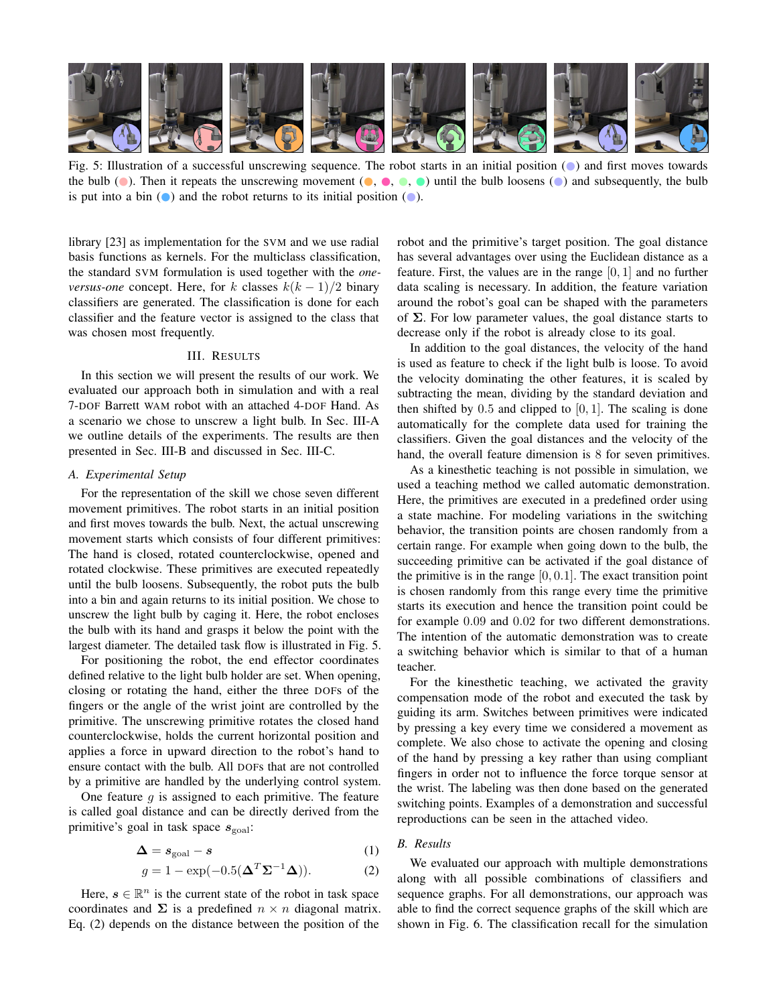<span id="page-5-2"></span>

Fig. 5: Illustration of a successful unscrewing sequence. The robot starts in an initial position ( $\bullet$ ) and first moves towards the bulb ( $\bullet$ ). Then it repeats the unscrewing movement ( $\bullet$ ,  $\bullet$ ,  $\bullet$ ,  $\bullet$ ) until the bulb loosens ( $\bullet$ ) and subsequently, the bulb is put into a bin  $\odot$  and the robot returns to its initial position  $\odot$ .

library [23] as implementation for the SVM and we use radial basis functions as kernels. For the multiclass classification, the standard SVM formulation is used together with the *oneversus-one* concept. Here, for k classes  $k(k-1)/2$  binary classifiers are generated. The classification is done for each classifier and the feature vector is assigned to the class that was chosen most frequently.

### III. RESULTS

In this section we will present the results of our work. We evaluated our approach both in simulation and with a real 7-DOF Barrett WAM robot with an attached 4-DOF Hand. As a scenario we chose to unscrew a light bulb. In [Sec. III-A](#page-5-0) we outline details of the experiments. The results are then presented in [Sec. III-B](#page-5-1) and discussed in [Sec. III-C.](#page-6-0)

### <span id="page-5-0"></span>*A. Experimental Setup*

For the representation of the skill we chose seven different movement primitives. The robot starts in an initial position and first moves towards the bulb. Next, the actual unscrewing movement starts which consists of four different primitives: The hand is closed, rotated counterclockwise, opened and rotated clockwise. These primitives are executed repeatedly until the bulb loosens. Subsequently, the robot puts the bulb into a bin and again returns to its initial position. We chose to unscrew the light bulb by caging it. Here, the robot encloses the bulb with its hand and grasps it below the point with the largest diameter. The detailed task flow is illustrated in [Fig. 5.](#page-5-2)

For positioning the robot, the end effector coordinates defined relative to the light bulb holder are set. When opening, closing or rotating the hand, either the three DOFs of the fingers or the angle of the wrist joint are controlled by the primitive. The unscrewing primitive rotates the closed hand counterclockwise, holds the current horizontal position and applies a force in upward direction to the robot's hand to ensure contact with the bulb. All DOFs that are not controlled by a primitive are handled by the underlying control system.

One feature  $q$  is assigned to each primitive. The feature is called goal distance and can be directly derived from the primitive's goal in task space  $s_{\text{goal}}$ :

$$
\Delta = s_{\text{goal}} - s \tag{1}
$$

$$
g = 1 - \exp(-0.5(\mathbf{\Delta}^T \mathbf{\Sigma}^{-1} \mathbf{\Delta})).
$$
 (2)

Here,  $s \in \mathbb{R}^n$  is the current state of the robot in task space coordinates and  $\Sigma$  is a predefined  $n \times n$  diagonal matrix. Eq. [\(2\)](#page-5-3) depends on the distance between the position of the

robot and the primitive's target position. The goal distance has several advantages over using the Euclidean distance as a feature. First, the values are in the range  $[0, 1]$  and no further data scaling is necessary. In addition, the feature variation around the robot's goal can be shaped with the parameters of  $\Sigma$ . For low parameter values, the goal distance starts to decrease only if the robot is already close to its goal.

In addition to the goal distances, the velocity of the hand is used as feature to check if the light bulb is loose. To avoid the velocity dominating the other features, it is scaled by subtracting the mean, dividing by the standard deviation and then shifted by  $0.5$  and clipped to  $[0, 1]$ . The scaling is done automatically for the complete data used for training the classifiers. Given the goal distances and the velocity of the hand, the overall feature dimension is 8 for seven primitives.

As a kinesthetic teaching is not possible in simulation, we used a teaching method we called automatic demonstration. Here, the primitives are executed in a predefined order using a state machine. For modeling variations in the switching behavior, the transition points are chosen randomly from a certain range. For example when going down to the bulb, the succeeding primitive can be activated if the goal distance of the primitive is in the range  $[0, 0.1]$ . The exact transition point is chosen randomly from this range every time the primitive starts its execution and hence the transition point could be for example 0.09 and 0.02 for two different demonstrations. The intention of the automatic demonstration was to create a switching behavior which is similar to that of a human teacher.

For the kinesthetic teaching, we activated the gravity compensation mode of the robot and executed the task by guiding its arm. Switches between primitives were indicated by pressing a key every time we considered a movement as complete. We also chose to activate the opening and closing of the hand by pressing a key rather than using compliant fingers in order not to influence the force torque sensor at the wrist. The labeling was then done based on the generated switching points. Examples of a demonstration and successful reproductions can be seen in the attached video.

### <span id="page-5-1"></span>*B. Results*

<span id="page-5-3"></span>We evaluated our approach with multiple demonstrations along with all possible combinations of classifiers and sequence graphs. For all demonstrations, our approach was able to find the correct sequence graphs of the skill which are shown in [Fig. 6.](#page-6-1) The classification recall for the simulation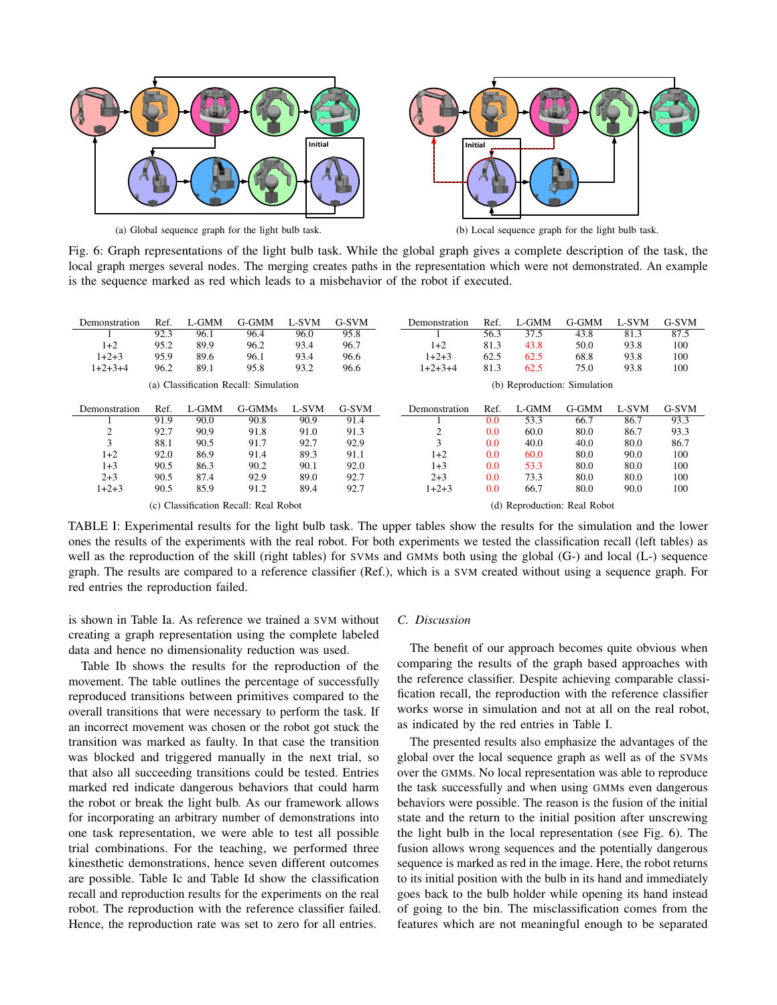<span id="page-6-1"></span>

(a) Global sequence graph for the light bulb task. (b) Local sequence graph for the light bulb task.

<span id="page-6-3"></span>

Fig. 6: Graph representations of the light bulb task. While the global graph gives a complete description of the task, the local graph merges several nodes. The merging creates paths in the representation which were not demonstrated. An example is the sequence marked as red which leads to a misbehavior of the robot if executed.

<span id="page-6-6"></span><span id="page-6-4"></span><span id="page-6-2"></span>

| Demonstration                         | Ref. | L-GMM | G-GMM  | L-SVM | G-SVM |  | Demonstration                | Ref. | L-GMM | G-GMM | L-SVM | G-SVM |  |
|---------------------------------------|------|-------|--------|-------|-------|--|------------------------------|------|-------|-------|-------|-------|--|
|                                       | 92.3 | 96.1  | 96.4   | 96.0  | 95.8  |  |                              | 56.3 | 37.5  | 43.8  | 81.3  | 87.5  |  |
| $1+2$                                 | 95.2 | 89.9  | 96.2   | 93.4  | 96.7  |  | $1+2$                        | 81.3 | 43.8  | 50.0  | 93.8  | 100   |  |
| $1+2+3$                               | 95.9 | 89.6  | 96.1   | 93.4  | 96.6  |  | $1+2+3$                      | 62.5 | 62.5  | 68.8  | 93.8  | 100   |  |
| $1+2+3+4$                             | 96.2 | 89.1  | 95.8   | 93.2  | 96.6  |  | $1+2+3+4$                    | 81.3 | 62.5  | 75.0  | 93.8  | 100   |  |
| (a) Classification Recall: Simulation |      |       |        |       |       |  | (b) Reproduction: Simulation |      |       |       |       |       |  |
| Demonstration                         | Ref. | L-GMM | G-GMMs | L-SVM | G-SVM |  | Demonstration                | Ref. | L-GMM | G-GMM | L-SVM | G-SVM |  |
|                                       | 91.9 | 90.0  | 90.8   | 90.9  | 91.4  |  |                              | 0.0  | 53.3  | 66.7  | 86.7  | 93.3  |  |
| 2                                     | 92.7 | 90.9  | 91.8   | 91.0  | 91.3  |  |                              | 0.0  | 60.0  | 80.0  | 86.7  | 93.3  |  |
| 3                                     | 88.1 | 90.5  | 91.7   | 92.7  | 92.9  |  |                              | 0.0  | 40.0  | 40.0  | 80.0  | 86.7  |  |
| $1+2$                                 | 92.0 | 86.9  | 91.4   | 89.3  | 91.1  |  | $1+2$                        | 0.0  | 60.0  | 80.0  | 90.0  | 100   |  |
| $1 + 3$                               | 90.5 | 86.3  | 90.2   | 90.1  | 92.0  |  | $1+3$                        | 0.0  | 53.3  | 80.0  | 80.0  | 100   |  |
| $2 + 3$                               | 90.5 | 87.4  | 92.9   | 89.0  | 92.7  |  | $2 + 3$                      | 0.0  | 73.3  | 80.0  | 80.0  | 100   |  |
| $1+2+3$                               | 90.5 | 85.9  | 91.2   | 89.4  | 92.7  |  | $1+2+3$                      | 0.0  | 66.7  | 80.0  | 90.0  | 100   |  |
| (c) Classification Recall: Real Robot |      |       |        |       |       |  | (d) Reproduction: Real Robot |      |       |       |       |       |  |

TABLE I: Experimental results for the light bulb task. The upper tables show the results for the simulation and the lower ones the results of the experiments with the real robot. For both experiments we tested the classification recall (left tables) as well as the reproduction of the skill (right tables) for SVMs and GMMs both using the global (G-) and local (L-) sequence graph. The results are compared to a reference classifier (Ref.), which is a SVM created without using a sequence graph. For red entries the reproduction failed.

is shown in [Table Ia.](#page-6-2) As reference we trained a SVM without creating a graph representation using the complete labeled data and hence no dimensionality reduction was used.

[Table Ib](#page-6-3) shows the results for the reproduction of the movement. The table outlines the percentage of successfully reproduced transitions between primitives compared to the overall transitions that were necessary to perform the task. If an incorrect movement was chosen or the robot got stuck the transition was marked as faulty. In that case the transition was blocked and triggered manually in the next trial, so that also all succeeding transitions could be tested. Entries marked red indicate dangerous behaviors that could harm the robot or break the light bulb. As our framework allows for incorporating an arbitrary number of demonstrations into one task representation, we were able to test all possible trial combinations. For the teaching, we performed three kinesthetic demonstrations, hence seven different outcomes are possible. [Table Ic](#page-6-4) and [Table Id](#page-6-5) show the classification recall and reproduction results for the experiments on the real robot. The reproduction with the reference classifier failed. Hence, the reproduction rate was set to zero for all entries.

### <span id="page-6-5"></span><span id="page-6-0"></span>*C. Discussion*

The benefit of our approach becomes quite obvious when comparing the results of the graph based approaches with the reference classifier. Despite achieving comparable classification recall, the reproduction with the reference classifier works worse in simulation and not at all on the real robot, as indicated by the red entries in [Table I.](#page-6-6)

The presented results also emphasize the advantages of the global over the local sequence graph as well as of the SVMs over the GMMs. No local representation was able to reproduce the task successfully and when using GMMs even dangerous behaviors were possible. The reason is the fusion of the initial state and the return to the initial position after unscrewing the light bulb in the local representation (see [Fig. 6\)](#page-6-1). The fusion allows wrong sequences and the potentially dangerous sequence is marked as red in the image. Here, the robot returns to its initial position with the bulb in its hand and immediately goes back to the bulb holder while opening its hand instead of going to the bin. The misclassification comes from the features which are not meaningful enough to be separated